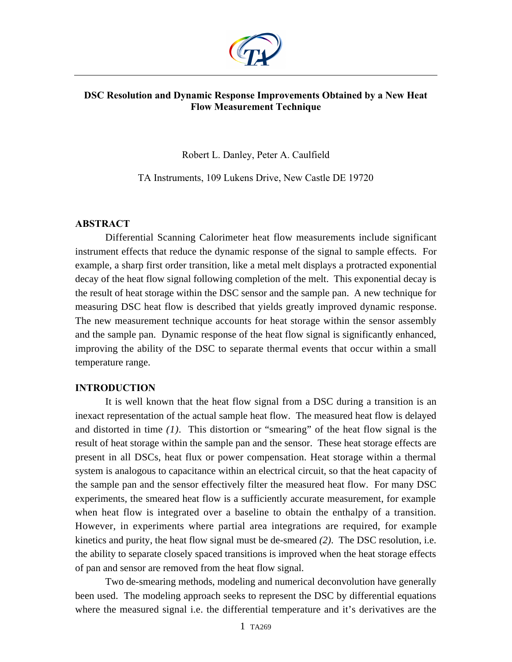

## **DSC Resolution and Dynamic Response Improvements Obtained by a New Heat Flow Measurement Technique**

Robert L. Danley, Peter A. Caulfield

TA Instruments, 109 Lukens Drive, New Castle DE 19720

## **ABSTRACT**

Differential Scanning Calorimeter heat flow measurements include significant instrument effects that reduce the dynamic response of the signal to sample effects. For example, a sharp first order transition, like a metal melt displays a protracted exponential decay of the heat flow signal following completion of the melt. This exponential decay is the result of heat storage within the DSC sensor and the sample pan. A new technique for measuring DSC heat flow is described that yields greatly improved dynamic response. The new measurement technique accounts for heat storage within the sensor assembly and the sample pan. Dynamic response of the heat flow signal is significantly enhanced, improving the ability of the DSC to separate thermal events that occur within a small temperature range.

# **INTRODUCTION**

It is well known that the heat flow signal from a DSC during a transition is an inexact representation of the actual sample heat flow. The measured heat flow is delayed and distorted in time *(1)*. This distortion or "smearing" of the heat flow signal is the result of heat storage within the sample pan and the sensor. These heat storage effects are present in all DSCs, heat flux or power compensation. Heat storage within a thermal system is analogous to capacitance within an electrical circuit, so that the heat capacity of the sample pan and the sensor effectively filter the measured heat flow. For many DSC experiments, the smeared heat flow is a sufficiently accurate measurement, for example when heat flow is integrated over a baseline to obtain the enthalpy of a transition. However, in experiments where partial area integrations are required, for example kinetics and purity, the heat flow signal must be de-smeared *(2)*. The DSC resolution, i.e. the ability to separate closely spaced transitions is improved when the heat storage effects of pan and sensor are removed from the heat flow signal.

Two de-smearing methods, modeling and numerical deconvolution have generally been used. The modeling approach seeks to represent the DSC by differential equations where the measured signal i.e. the differential temperature and it's derivatives are the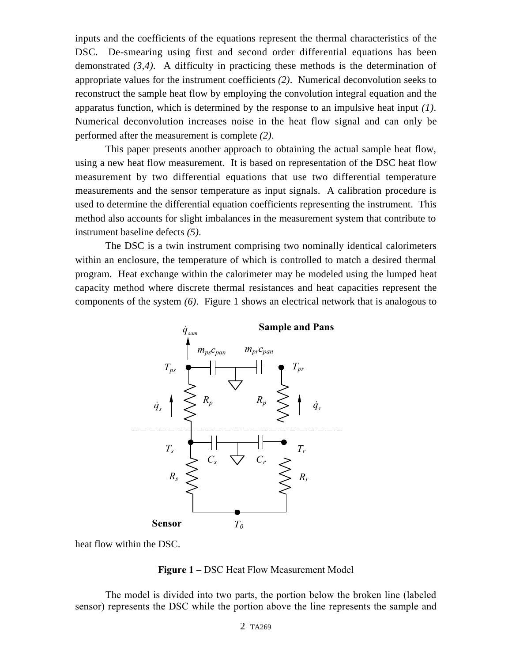inputs and the coefficients of the equations represent the thermal characteristics of the DSC. De-smearing using first and second order differential equations has been demonstrated *(3,4)*. A difficulty in practicing these methods is the determination of appropriate values for the instrument coefficients *(2)*. Numerical deconvolution seeks to reconstruct the sample heat flow by employing the convolution integral equation and the apparatus function, which is determined by the response to an impulsive heat input *(1)*. Numerical deconvolution increases noise in the heat flow signal and can only be performed after the measurement is complete *(2)*.

This paper presents another approach to obtaining the actual sample heat flow, using a new heat flow measurement. It is based on representation of the DSC heat flow measurement by two differential equations that use two differential temperature measurements and the sensor temperature as input signals. A calibration procedure is used to determine the differential equation coefficients representing the instrument. This method also accounts for slight imbalances in the measurement system that contribute to instrument baseline defects *(5)*.

The DSC is a twin instrument comprising two nominally identical calorimeters within an enclosure, the temperature of which is controlled to match a desired thermal program. Heat exchange within the calorimeter may be modeled using the lumped heat capacity method where discrete thermal resistances and heat capacities represent the components of the system *(6)*. Figure 1 shows an electrical network that is analogous to



heat flow within the DSC.

#### **Figure 1 –** DSC Heat Flow Measurement Model

The model is divided into two parts, the portion below the broken line (labeled sensor) represents the DSC while the portion above the line represents the sample and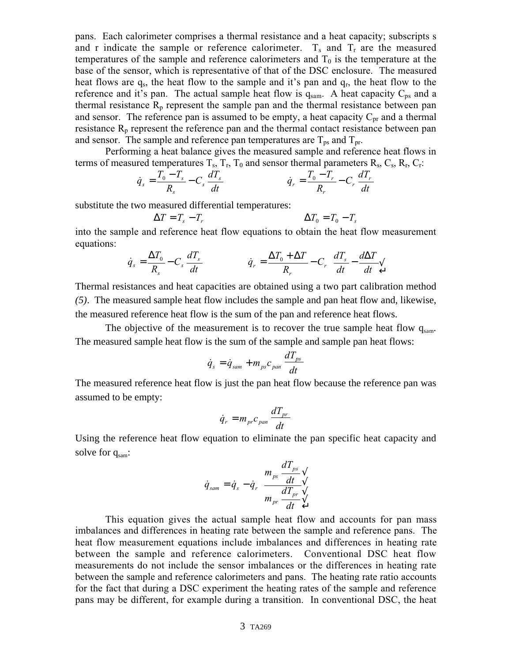pans. Each calorimeter comprises a thermal resistance and a heat capacity; subscripts s and r indicate the sample or reference calorimeter.  $T_s$  and  $T_r$  are the measured temperatures of the sample and reference calorimeters and  $T_0$  is the temperature at the base of the sensor, which is representative of that of the DSC enclosure. The measured heat flows are q<sub>s</sub>, the heat flow to the sample and it's pan and q<sub>r</sub>, the heat flow to the reference and it's pan. The actual sample heat flow is  $q_{\text{sam}}$ . A heat capacity  $C_{\text{ps}}$  and a thermal resistance  $R_p$  represent the sample pan and the thermal resistance between pan and sensor. The reference pan is assumed to be empty, a heat capacity  $C_{pr}$  and a thermal resistance  $R_p$  represent the reference pan and the thermal contact resistance between pan and sensor. The sample and reference pan temperatures are  $T_{\text{ps}}$  and  $T_{\text{pr}}$ .

Performing a heat balance gives the measured sample and reference heat flows in terms of measured temperatures  $T_s$ ,  $T_r$ ,  $T_0$  and sensor thermal parameters  $R_s$ ,  $C_s$ ,  $R_r$ ,  $C_r$ :

$$
\dot{q}_s = \frac{T_0 - T_s}{R_s} - C_s \frac{dT_s}{dt} \qquad \dot{q}_r = \frac{T_0 - T_r}{R_r} - C_r \frac{dT_r}{dt}
$$

substitute the two measured differential temperatures:

$$
\Delta T = T_s - T_r \qquad \Delta T_0 = T_0 - T_s
$$

into the sample and reference heat flow equations to obtain the heat flow measurement equations:

$$
\dot{q}_s = \frac{\Delta T_0}{R_s} - C_s \frac{dT_s}{dt} \qquad \dot{q}_r = \frac{\Delta T_0 + \Delta T}{R_r} - C_r \frac{-dT_s}{dt} - \frac{d\Delta T}{dt} \sqrt{\frac{dT_s}{L}}
$$

Thermal resistances and heat capacities are obtained using a two part calibration method *(5)*. The measured sample heat flow includes the sample and pan heat flow and, likewise, the measured reference heat flow is the sum of the pan and reference heat flows.

The objective of the measurement is to recover the true sample heat flow  $q_{\text{sam}}$ . The measured sample heat flow is the sum of the sample and sample pan heat flows:

$$
\dot{q}_s = \dot{q}_{sam} + m_{ps} c_{pan} \frac{dT_{ps}}{dt}
$$

The measured reference heat flow is just the pan heat flow because the reference pan was assumed to be empty:

$$
\dot{q}_r = m_{pr} c_{pan} \frac{dT_{pr}}{dt}
$$

Using the reference heat flow equation to eliminate the pan specific heat capacity and solve for  $q_{\text{sam}}$ :

$$
\dot{q}_{sam} = \dot{q}_s - \dot{q}_r \frac{m_{ps}}{m_{pr}} \frac{dT_{ps}}{dt} \sqrt{\frac{dT_{pr}}{dt}}
$$

This equation gives the actual sample heat flow and accounts for pan mass imbalances and differences in heating rate between the sample and reference pans. The heat flow measurement equations include imbalances and differences in heating rate between the sample and reference calorimeters. Conventional DSC heat flow measurements do not include the sensor imbalances or the differences in heating rate between the sample and reference calorimeters and pans. The heating rate ratio accounts for the fact that during a DSC experiment the heating rates of the sample and reference pans may be different, for example during a transition. In conventional DSC, the heat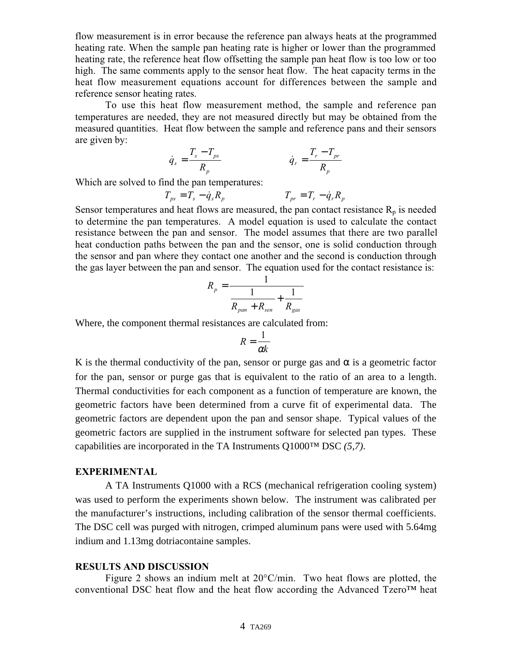flow measurement is in error because the reference pan always heats at the programmed heating rate. When the sample pan heating rate is higher or lower than the programmed heating rate, the reference heat flow offsetting the sample pan heat flow is too low or too high. The same comments apply to the sensor heat flow. The heat capacity terms in the heat flow measurement equations account for differences between the sample and reference sensor heating rates.

To use this heat flow measurement method, the sample and reference pan temperatures are needed, they are not measured directly but may be obtained from the measured quantities. Heat flow between the sample and reference pans and their sensors are given by:

$$
\dot{q}_s = \frac{T_s - T_{ps}}{R_p} \qquad \dot{q}_r = \frac{T_r - T_{pr}}{R_p}
$$

Which are solved to find the pan temperatures:

$$
T_{ps} = T_s - \dot{q}_s R_p \qquad T_{pr} = T_r - \dot{q}_r R_p
$$

Sensor temperatures and heat flows are measured, the pan contact resistance  $R_p$  is needed to determine the pan temperatures. A model equation is used to calculate the contact resistance between the pan and sensor. The model assumes that there are two parallel heat conduction paths between the pan and the sensor, one is solid conduction through the sensor and pan where they contact one another and the second is conduction through the gas layer between the pan and sensor. The equation used for the contact resistance is:

$$
R_p = \frac{1}{\frac{1}{R_{pan} + R_{sen}} + \frac{1}{R_{gas}}}
$$

Where, the component thermal resistances are calculated from:

$$
R=\frac{1}{\alpha k}
$$

K is the thermal conductivity of the pan, sensor or purge gas and  $\alpha$  is a geometric factor for the pan, sensor or purge gas that is equivalent to the ratio of an area to a length. Thermal conductivities for each component as a function of temperature are known, the geometric factors have been determined from a curve fit of experimental data. The geometric factors are dependent upon the pan and sensor shape. Typical values of the geometric factors are supplied in the instrument software for selected pan types. These capabilities are incorporated in the TA Instruments Q1000™ DSC *(5,7)*.

## **EXPERIMENTAL**

A TA Instruments Q1000 with a RCS (mechanical refrigeration cooling system) was used to perform the experiments shown below. The instrument was calibrated per the manufacturer's instructions, including calibration of the sensor thermal coefficients. The DSC cell was purged with nitrogen, crimped aluminum pans were used with 5.64mg indium and 1.13mg dotriacontaine samples.

#### **RESULTS AND DISCUSSION**

Figure 2 shows an indium melt at 20°C/min. Two heat flows are plotted, the conventional DSC heat flow and the heat flow according the Advanced Tzero<sup>TM</sup> heat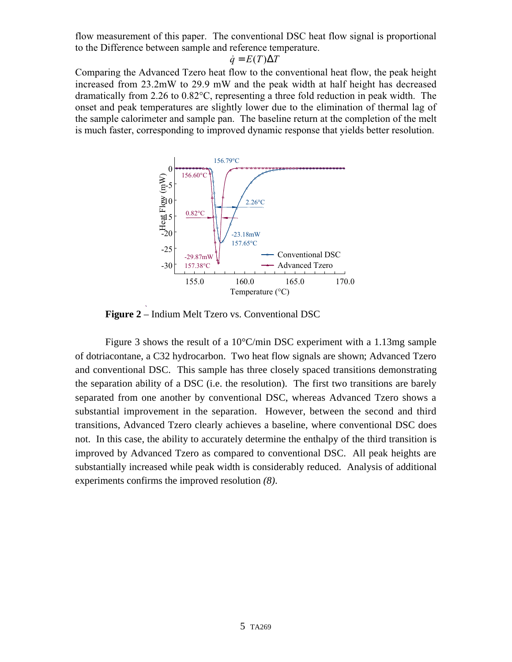flow measurement of this paper. The conventional DSC heat flow signal is proportional to the Difference between sample and reference temperature.

$$
\dot{q} = E(T)\Delta T
$$

Comparing the Advanced Tzero heat flow to the conventional heat flow, the peak height increased from 23.2mW to 29.9 mW and the peak width at half height has decreased dramatically from 2.26 to 0.82°C, representing a three fold reduction in peak width. The onset and peak temperatures are slightly lower due to the elimination of thermal lag of the sample calorimeter and sample pan. The baseline return at the completion of the melt is much faster, corresponding to improved dynamic response that yields better resolution.



**Figure 2** – Indium Melt Tzero vs. Conventional DSC

Figure 3 shows the result of a 10°C/min DSC experiment with a 1.13mg sample of dotriacontane, a C32 hydrocarbon. Two heat flow signals are shown; Advanced Tzero and conventional DSC. This sample has three closely spaced transitions demonstrating the separation ability of a DSC (i.e. the resolution). The first two transitions are barely separated from one another by conventional DSC, whereas Advanced Tzero shows a substantial improvement in the separation. However, between the second and third transitions, Advanced Tzero clearly achieves a baseline, where conventional DSC does not. In this case, the ability to accurately determine the enthalpy of the third transition is improved by Advanced Tzero as compared to conventional DSC. All peak heights are substantially increased while peak width is considerably reduced. Analysis of additional experiments confirms the improved resolution *(8)*.